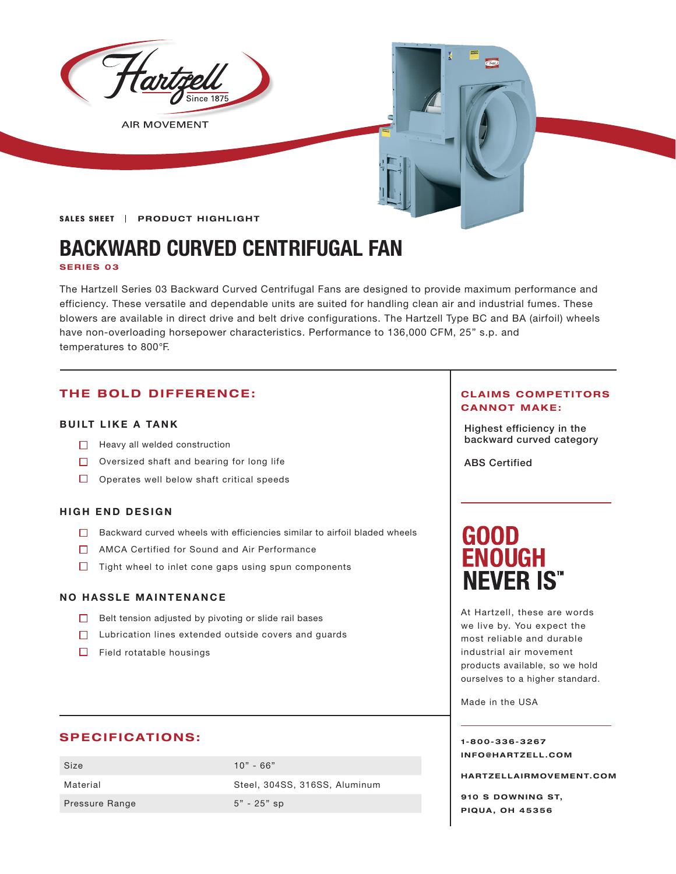

**AIR MOVEMENT** 



**SALES SHEET | PRODUCT HIGHLIGHT** 

# **BACKWARD CURVED CENTRIFUGAL FAN SERIES 03**

The Hartzell Series 03 Backward Curved Centrifugal Fans are designed to provide maximum performance and efficiency. These versatile and dependable units are suited for handling clean air and industrial fumes. These blowers are available in direct drive and belt drive configurations. The Hartzell Type BC and BA (airfoil) wheels have non-overloading horsepower characteristics. Performance to 136,000 CFM, 25" s.p. and temperatures to 800°F.

# **THE BOLD DIFFERENCE:**

### **BUILT LIKE A TANK**

- $\Box$  Heavy all welded construction
- Oversized shaft and bearing for long life
- $\Box$  Operates well below shaft critical speeds

### **HIGH END DESIGN**

- $\Box$  Backward curved wheels with efficiencies similar to airfoil bladed wheels
- □ AMCA Certified for Sound and Air Performance
- $\Box$  Tight wheel to inlet cone gaps using spun components

### **NO HASSLE MAINTENANCE**

- $\Box$  Belt tension adjusted by pivoting or slide rail bases
- $\Box$  Lubrication lines extended outside covers and guards
- $\Box$  Field rotatable housings

## **SPECIFICATIONS:**

| Size           | $10" - 66"$                   |
|----------------|-------------------------------|
| Material       | Steel, 304SS, 316SS, Aluminum |
| Pressure Range | $5" - 25"$ sp                 |

### **CLAIMS COMPETITORS CANNOT MAKE:**

Highest efficiency in the backward curved category

ABS Certified

# **GOOD ENOUGH NEVER IS"**

At Hartzell, these are words we live by. You expect the most reliable and durable industrial air movement products available, so we hold ourselves to a higher standard.

Made in the USA

### **1-800-336-3267 I N F O @ H A R T Z E L L . C OM**

**HARTZELLA IRMOVEMENT.COM**

**910 S DOWNING ST, PIQUA, OH 45356**